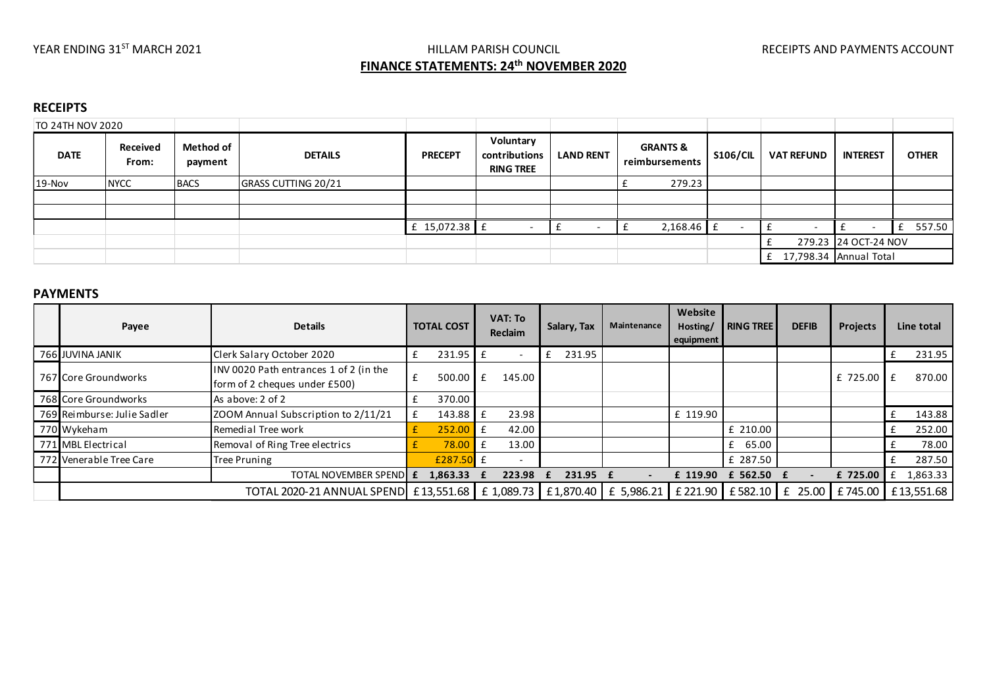# YEAR ENDING 31<sup>ST</sup> MARCH 2021 **Example 2021** HILLAM PARISH COUNCIL **The COUNCIL RECEIPTS AND PAYMENTS ACCOUNT FINANCE STATEMENTS: 24th NOVEMBER 2020**

# **RECEIPTS**

| TO 24TH NOV 2020 |  |
|------------------|--|
|                  |  |

| TO 24TH NOV 2020 |                   |                             |                     |                   |                                                |                  |                                       |                          |                   |                          |              |
|------------------|-------------------|-----------------------------|---------------------|-------------------|------------------------------------------------|------------------|---------------------------------------|--------------------------|-------------------|--------------------------|--------------|
| <b>DATE</b>      | Received<br>From: | <b>Method of</b><br>payment | <b>DETAILS</b>      | <b>PRECEPT</b>    | Voluntary<br>contributions<br><b>RING TREE</b> | <b>LAND RENT</b> | <b>GRANTS &amp;</b><br>reimbursements | <b>S106/CIL</b>          | <b>VAT REFUND</b> | <b>INTEREST</b>          | <b>OTHER</b> |
| 19-Nov           | <b>NYCC</b>       | <b>BACS</b>                 | GRASS CUTTING 20/21 |                   |                                                |                  | 279.23                                |                          |                   |                          |              |
|                  |                   |                             |                     |                   |                                                |                  |                                       |                          |                   |                          |              |
|                  |                   |                             |                     |                   |                                                |                  |                                       |                          |                   |                          |              |
|                  |                   |                             |                     | $f$ 15,072.38 $f$ |                                                |                  | $2,168.46$ £                          | $\overline{\phantom{0}}$ |                   | $\overline{\phantom{a}}$ | 557.50<br>£  |
|                  |                   |                             |                     |                   |                                                |                  |                                       |                          |                   | 279.23 24 OCT-24 NOV     |              |
|                  |                   |                             |                     |                   |                                                |                  |                                       |                          |                   | 17,798.34 Annual Total   |              |

#### **PAYMENTS**

| Payee                                                                 | <b>Details</b>                                                          | <b>TOTAL COST</b> | VAT: To<br>Reclaim | Salary, Tax | Maintenance | Website<br>Hosting/<br>equipment | <b>I RING TREE</b>            | <b>DEFIB</b> | <b>Projects</b>  | Line total |
|-----------------------------------------------------------------------|-------------------------------------------------------------------------|-------------------|--------------------|-------------|-------------|----------------------------------|-------------------------------|--------------|------------------|------------|
| 766 JUVINA JANIK                                                      | Clerk Salary October 2020                                               | 231.95            |                    | 231.95      |             |                                  |                               |              |                  | 231.95     |
| 767 Core Groundworks                                                  | INV 0020 Path entrances 1 of 2 (in the<br>form of 2 cheques under £500) | 500.00            | 145.00             |             |             |                                  |                               |              | $£725.00 \mid £$ | 870.00     |
| 768 Core Groundworks                                                  | As above: 2 of 2                                                        | 370.00            |                    |             |             |                                  |                               |              |                  |            |
| 769 Reimburse: Julie Sadler                                           | ZOOM Annual Subscription to 2/11/21                                     | 143.88            | 23.98              |             |             | £ 119.90                         |                               |              |                  | 143.88     |
| 770 Wykeham                                                           | Remedial Tree work                                                      | 252.00            | 42.00              |             |             |                                  | £ 210.00                      |              |                  | 252.00     |
| 771 MBL Electrical                                                    | Removal of Ring Tree electrics                                          | 78.00             | 13.00              |             |             |                                  | 65.00<br>£                    |              |                  | 78.00      |
| 772 Venerable Tree Care                                               | Tree Pruning                                                            | $£287.50$ £       |                    |             |             |                                  | £ 287.50                      |              |                  | 287.50     |
|                                                                       | TOTAL NOVEMBER SPENDE                                                   | 1,863.33          | 223.98             | 231.95      |             | £ 119.90                         | £ 562.50                      |              | £ 725.00         | 1,863.33   |
| TOTAL 2020-21 ANNUAL SPEND E13,551.68 E 1,089.73 E1,870.40 E 5,986.21 |                                                                         |                   |                    |             |             |                                  | £ 221.90   £ 582.10   £ 25.00 |              | £745.00          | £13,551.68 |